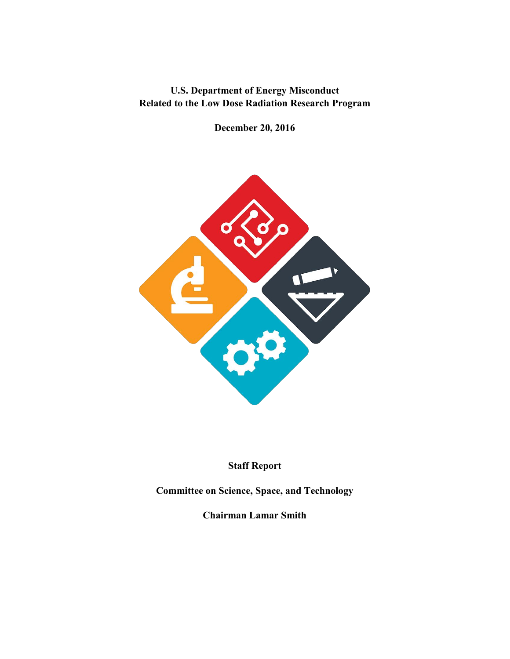**U.S. Department of Energy Misconduct Related to the Low Dose Radiation Research Program**

**December 20, 2016**



#### **Staff Report**

**Committee on Science, Space, and Technology**

**Chairman Lamar Smith**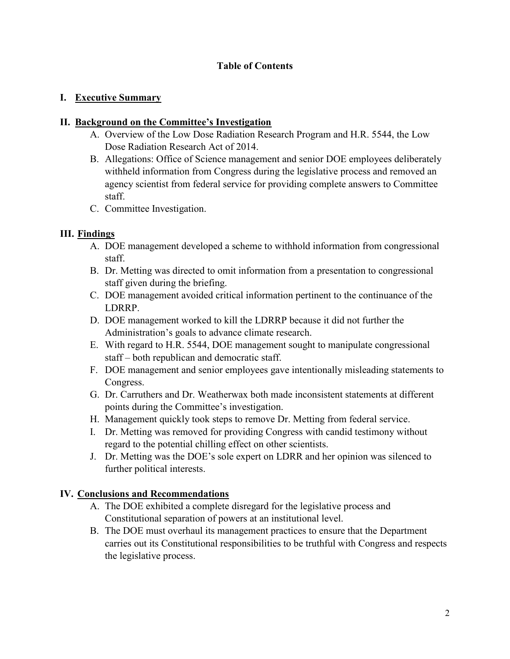#### **Table of Contents**

#### **I. Executive Summary**

#### **II. Background on the Committee's Investigation**

- A. Overview of the Low Dose Radiation Research Program and H.R. 5544, the Low Dose Radiation Research Act of 2014.
- B. Allegations: Office of Science management and senior DOE employees deliberately withheld information from Congress during the legislative process and removed an agency scientist from federal service for providing complete answers to Committee staff.
- C. Committee Investigation.

#### **III. Findings**

- A. DOE management developed a scheme to withhold information from congressional staff.
- B. Dr. Metting was directed to omit information from a presentation to congressional staff given during the briefing.
- C. DOE management avoided critical information pertinent to the continuance of the LDRRP.
- D. DOE management worked to kill the LDRRP because it did not further the Administration's goals to advance climate research.
- E. With regard to H.R. 5544, DOE management sought to manipulate congressional staff – both republican and democratic staff.
- F. DOE management and senior employees gave intentionally misleading statements to Congress.
- G. Dr. Carruthers and Dr. Weatherwax both made inconsistent statements at different points during the Committee's investigation.
- H. Management quickly took steps to remove Dr. Metting from federal service.
- I. Dr. Metting was removed for providing Congress with candid testimony without regard to the potential chilling effect on other scientists.
- J. Dr. Metting was the DOE's sole expert on LDRR and her opinion was silenced to further political interests.

#### **IV. Conclusions and Recommendations**

- A. The DOE exhibited a complete disregard for the legislative process and Constitutional separation of powers at an institutional level.
- B. The DOE must overhaul its management practices to ensure that the Department carries out its Constitutional responsibilities to be truthful with Congress and respects the legislative process.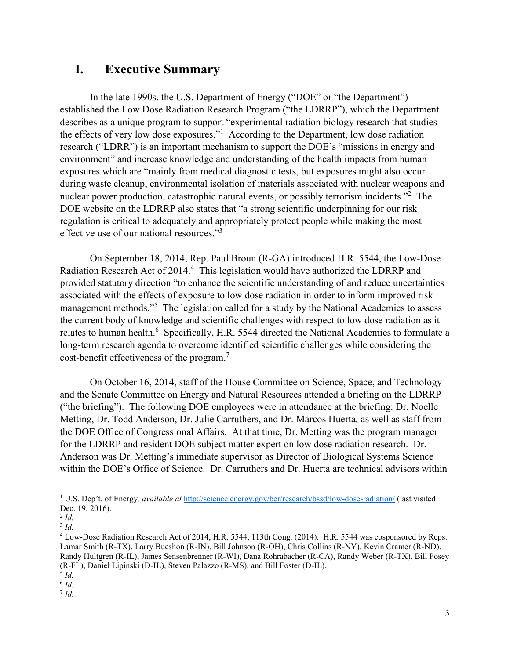## **I. Executive Summary**

In the late 1990s, the U.S. Department of Energy ("DOE" or "the Department") established the Low Dose Radiation Research Program ("the LDRRP"), which the Department describes as a unique program to support "experimental radiation biology research that studies the effects of very low dose exposures."<sup>1</sup> According to the Department, low dose radiation research ("LDRR") is an important mechanism to support the DOE's "missions in energy and environment" and increase knowledge and understanding of the health impacts from human exposures which are "mainly from medical diagnostic tests, but exposures might also occur during waste cleanup, environmental isolation of materials associated with nuclear weapons and nuclear power production, catastrophic natural events, or possibly terrorism incidents."<sup>2</sup> The DOE website on the LDRRP also states that "a strong scientific underpinning for our risk regulation is critical to adequately and appropriately protect people while making the most effective use of our national resources."<sup>3</sup>

On September 18, 2014, Rep. Paul Broun (R-GA) introduced H.R. 5544, the Low-Dose Radiation Research Act of 2014.<sup>4</sup> This legislation would have authorized the LDRRP and provided statutory direction "to enhance the scientific understanding of and reduce uncertainties associated with the effects of exposure to low dose radiation in order to inform improved risk management methods."<sup>5</sup> The legislation called for a study by the National Academies to assess the current body of knowledge and scientific challenges with respect to low dose radiation as it relates to human health.<sup>6</sup> Specifically, H.R. 5544 directed the National Academies to formulate a long-term research agenda to overcome identified scientific challenges while considering the cost-benefit effectiveness of the program.<sup>7</sup>

On October 16, 2014, staff of the House Committee on Science, Space, and Technology and the Senate Committee on Energy and Natural Resources attended a briefing on the LDRRP ("the briefing"). The following DOE employees were in attendance at the briefing: Dr. Noelle Metting, Dr. Todd Anderson, Dr. Julie Carruthers, and Dr. Marcos Huerta, as well as staff from the DOE Office of Congressional Affairs. At that time, Dr. Metting was the program manager for the LDRRP and resident DOE subject matter expert on low dose radiation research. Dr. Anderson was Dr. Metting's immediate supervisor as Director of Biological Systems Science within the DOE's Office of Science. Dr. Carruthers and Dr. Huerta are technical advisors within

 $\overline{\phantom{a}}$ 

<sup>6</sup> *Id.*

<sup>1</sup> U.S. Dep't. of Energy*, available at* <http://science.energy.gov/ber/research/bssd/low-dose-radiation/> (last visited Dec. 19, 2016).

<sup>2</sup> *Id.*

<sup>3</sup> *Id.*

<sup>4</sup> Low-Dose Radiation Research Act of 2014, H.R. 5544, 113th Cong. (2014). H.R. 5544 was cosponsored by Reps. Lamar Smith (R-TX), Larry Bucshon (R-IN), Bill Johnson (R-OH), Chris Collins (R-NY), Kevin Cramer (R-ND), Randy Hultgren (R-IL), James Sensenbrenner (R-WI), Dana Rohrabacher (R-CA), Randy Weber (R-TX), Bill Posey (R-FL), Daniel Lipinski (D-IL), Steven Palazzo (R-MS), and Bill Foster (D-IL).

<sup>5</sup> *Id.*

<sup>7</sup> *Id.*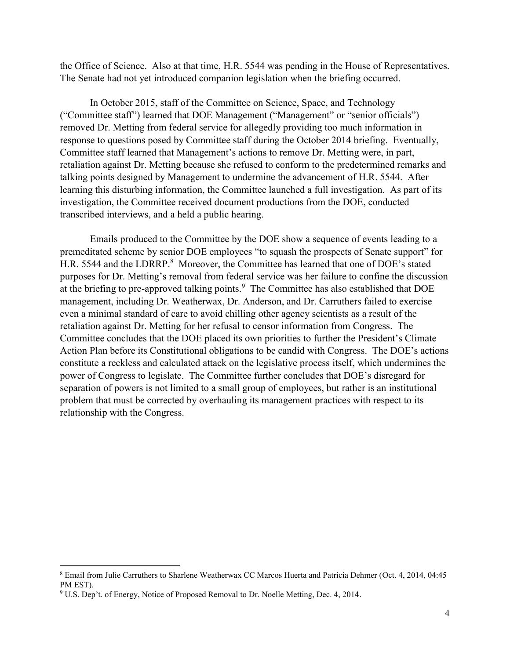the Office of Science. Also at that time, H.R. 5544 was pending in the House of Representatives. The Senate had not yet introduced companion legislation when the briefing occurred.

In October 2015, staff of the Committee on Science, Space, and Technology ("Committee staff") learned that DOE Management ("Management" or "senior officials") removed Dr. Metting from federal service for allegedly providing too much information in response to questions posed by Committee staff during the October 2014 briefing. Eventually, Committee staff learned that Management's actions to remove Dr. Metting were, in part, retaliation against Dr. Metting because she refused to conform to the predetermined remarks and talking points designed by Management to undermine the advancement of H.R. 5544. After learning this disturbing information, the Committee launched a full investigation. As part of its investigation, the Committee received document productions from the DOE, conducted transcribed interviews, and a held a public hearing.

Emails produced to the Committee by the DOE show a sequence of events leading to a premeditated scheme by senior DOE employees "to squash the prospects of Senate support" for H.R. 5544 and the LDRRP.<sup>8</sup> Moreover, the Committee has learned that one of DOE's stated purposes for Dr. Metting's removal from federal service was her failure to confine the discussion at the briefing to pre-approved talking points.<sup>9</sup> The Committee has also established that DOE management, including Dr. Weatherwax, Dr. Anderson, and Dr. Carruthers failed to exercise even a minimal standard of care to avoid chilling other agency scientists as a result of the retaliation against Dr. Metting for her refusal to censor information from Congress. The Committee concludes that the DOE placed its own priorities to further the President's Climate Action Plan before its Constitutional obligations to be candid with Congress. The DOE's actions constitute a reckless and calculated attack on the legislative process itself, which undermines the power of Congress to legislate. The Committee further concludes that DOE's disregard for separation of powers is not limited to a small group of employees, but rather is an institutional problem that must be corrected by overhauling its management practices with respect to its relationship with the Congress.

<sup>8</sup> Email from Julie Carruthers to Sharlene Weatherwax CC Marcos Huerta and Patricia Dehmer (Oct. 4, 2014, 04:45 PM EST).

<sup>&</sup>lt;sup>9</sup> U.S. Dep't. of Energy, Notice of Proposed Removal to Dr. Noelle Metting, Dec. 4, 2014.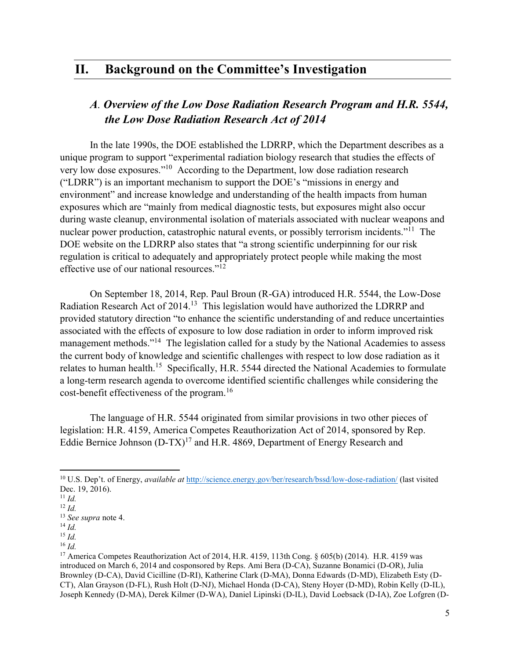## **II. Background on the Committee's Investigation**

### *A. Overview of the Low Dose Radiation Research Program and H.R. 5544, the Low Dose Radiation Research Act of 2014*

In the late 1990s, the DOE established the LDRRP, which the Department describes as a unique program to support "experimental radiation biology research that studies the effects of very low dose exposures."10 According to the Department, low dose radiation research ("LDRR") is an important mechanism to support the DOE's "missions in energy and environment" and increase knowledge and understanding of the health impacts from human exposures which are "mainly from medical diagnostic tests, but exposures might also occur during waste cleanup, environmental isolation of materials associated with nuclear weapons and nuclear power production, catastrophic natural events, or possibly terrorism incidents."<sup>11</sup> The DOE website on the LDRRP also states that "a strong scientific underpinning for our risk regulation is critical to adequately and appropriately protect people while making the most effective use of our national resources."<sup>12</sup>

On September 18, 2014, Rep. Paul Broun (R-GA) introduced H.R. 5544, the Low-Dose Radiation Research Act of 2014.13 This legislation would have authorized the LDRRP and provided statutory direction "to enhance the scientific understanding of and reduce uncertainties associated with the effects of exposure to low dose radiation in order to inform improved risk management methods."<sup>14</sup> The legislation called for a study by the National Academies to assess the current body of knowledge and scientific challenges with respect to low dose radiation as it relates to human health.<sup>15</sup> Specifically, H.R. 5544 directed the National Academies to formulate a long-term research agenda to overcome identified scientific challenges while considering the cost-benefit effectiveness of the program.<sup>16</sup>

The language of H.R. 5544 originated from similar provisions in two other pieces of legislation: H.R. 4159, America Competes Reauthorization Act of 2014, sponsored by Rep. Eddie Bernice Johnson  $(D-TX)^{17}$  and H.R. 4869, Department of Energy Research and

 $\overline{\phantom{a}}$ 

<sup>16</sup> *Id.*

<sup>10</sup> U.S. Dep't. of Energy, *available at* <http://science.energy.gov/ber/research/bssd/low-dose-radiation/> (last visited Dec. 19, 2016).

<sup>11</sup> *Id.*

<sup>12</sup> *Id.*

<sup>13</sup> *See supra* note 4.

<sup>14</sup> *Id.*

<sup>15</sup> *Id.*

<sup>&</sup>lt;sup>17</sup> America Competes Reauthorization Act of 2014, H.R. 4159, 113th Cong. § 605(b) (2014). H.R. 4159 was introduced on March 6, 2014 and cosponsored by Reps. Ami Bera (D-CA), Suzanne Bonamici (D-OR), Julia Brownley (D-CA), David Cicilline (D-RI), Katherine Clark (D-MA), Donna Edwards (D-MD), Elizabeth Esty (D-CT), Alan Grayson (D-FL), Rush Holt (D-NJ), Michael Honda (D-CA), Steny Hoyer (D-MD), Robin Kelly (D-IL), Joseph Kennedy (D-MA), Derek Kilmer (D-WA), Daniel Lipinski (D-IL), David Loebsack (D-IA), Zoe Lofgren (D-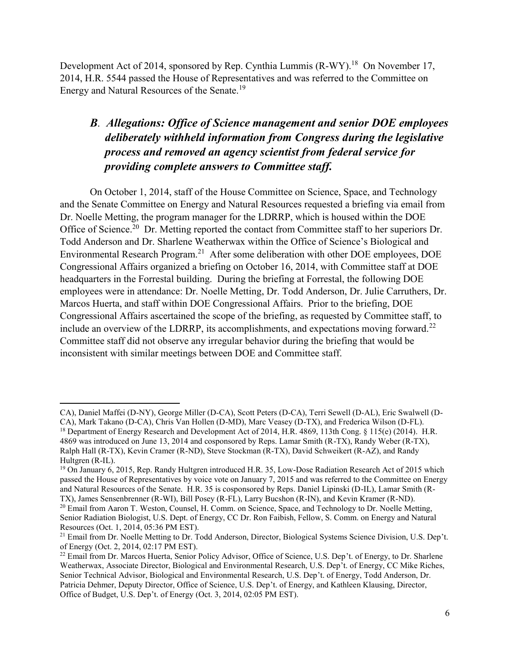Development Act of 2014, sponsored by Rep. Cynthia Lummis (R-WY).<sup>18</sup> On November 17, 2014, H.R. 5544 passed the House of Representatives and was referred to the Committee on Energy and Natural Resources of the Senate.19

## *B. Allegations: Office of Science management and senior DOE employees deliberately withheld information from Congress during the legislative process and removed an agency scientist from federal service for providing complete answers to Committee staff.*

On October 1, 2014, staff of the House Committee on Science, Space, and Technology and the Senate Committee on Energy and Natural Resources requested a briefing via email from Dr. Noelle Metting, the program manager for the LDRRP, which is housed within the DOE Office of Science.<sup>20</sup> Dr. Metting reported the contact from Committee staff to her superiors Dr. Todd Anderson and Dr. Sharlene Weatherwax within the Office of Science's Biological and Environmental Research Program.21 After some deliberation with other DOE employees, DOE Congressional Affairs organized a briefing on October 16, 2014, with Committee staff at DOE headquarters in the Forrestal building. During the briefing at Forrestal, the following DOE employees were in attendance: Dr. Noelle Metting, Dr. Todd Anderson, Dr. Julie Carruthers, Dr. Marcos Huerta, and staff within DOE Congressional Affairs. Prior to the briefing, DOE Congressional Affairs ascertained the scope of the briefing, as requested by Committee staff, to include an overview of the LDRRP, its accomplishments, and expectations moving forward.<sup>22</sup> Committee staff did not observe any irregular behavior during the briefing that would be inconsistent with similar meetings between DOE and Committee staff.

 $\overline{a}$ CA), Daniel Maffei (D-NY), George Miller (D-CA), Scott Peters (D-CA), Terri Sewell (D-AL), Eric Swalwell (D-CA), Mark Takano (D-CA), Chris Van Hollen (D-MD), Marc Veasey (D-TX), and Frederica Wilson (D-FL).

<sup>&</sup>lt;sup>18</sup> Department of Energy Research and Development Act of 2014, H.R. 4869, 113th Cong. § 115(e) (2014). H.R. 4869 was introduced on June 13, 2014 and cosponsored by Reps. Lamar Smith (R-TX), Randy Weber (R-TX), Ralph Hall (R-TX), Kevin Cramer (R-ND), Steve Stockman (R-TX), David Schweikert (R-AZ), and Randy Hultgren (R-IL).

<sup>&</sup>lt;sup>19</sup> On January 6, 2015, Rep. Randy Hultgren introduced H.R. 35, Low-Dose Radiation Research Act of 2015 which passed the House of Representatives by voice vote on January 7, 2015 and was referred to the Committee on Energy and Natural Resources of the Senate. H.R. 35 is cosponsored by Reps. Daniel Lipinski (D-IL), Lamar Smith (R-TX), James Sensenbrenner (R-WI), Bill Posey (R-FL), Larry Bucshon (R-IN), and Kevin Kramer (R-ND).

<sup>&</sup>lt;sup>20</sup> Email from Aaron T. Weston, Counsel, H. Comm. on Science, Space, and Technology to Dr. Noelle Metting, Senior Radiation Biologist, U.S. Dept. of Energy, CC Dr. Ron Faibish, Fellow, S. Comm. on Energy and Natural Resources (Oct. 1, 2014, 05:36 PM EST).

<sup>&</sup>lt;sup>21</sup> Email from Dr. Noelle Metting to Dr. Todd Anderson, Director, Biological Systems Science Division, U.S. Dep't. of Energy (Oct. 2, 2014, 02:17 PM EST).

<sup>&</sup>lt;sup>22</sup> Email from Dr. Marcos Huerta, Senior Policy Advisor, Office of Science, U.S. Dep't. of Energy, to Dr. Sharlene Weatherwax, Associate Director, Biological and Environmental Research, U.S. Dep't. of Energy, CC Mike Riches, Senior Technical Advisor, Biological and Environmental Research, U.S. Dep't. of Energy, Todd Anderson, Dr. Patricia Dehmer, Deputy Director, Office of Science, U.S. Dep't. of Energy, and Kathleen Klausing, Director, Office of Budget, U.S. Dep't. of Energy (Oct. 3, 2014, 02:05 PM EST).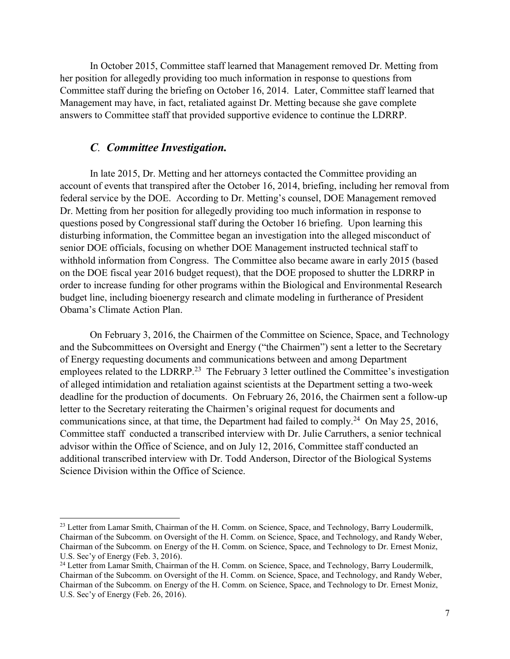In October 2015, Committee staff learned that Management removed Dr. Metting from her position for allegedly providing too much information in response to questions from Committee staff during the briefing on October 16, 2014. Later, Committee staff learned that Management may have, in fact, retaliated against Dr. Metting because she gave complete answers to Committee staff that provided supportive evidence to continue the LDRRP.

### *C. Committee Investigation.*

 $\overline{a}$ 

In late 2015, Dr. Metting and her attorneys contacted the Committee providing an account of events that transpired after the October 16, 2014, briefing, including her removal from federal service by the DOE. According to Dr. Metting's counsel, DOE Management removed Dr. Metting from her position for allegedly providing too much information in response to questions posed by Congressional staff during the October 16 briefing. Upon learning this disturbing information, the Committee began an investigation into the alleged misconduct of senior DOE officials, focusing on whether DOE Management instructed technical staff to withhold information from Congress. The Committee also became aware in early 2015 (based on the DOE fiscal year 2016 budget request), that the DOE proposed to shutter the LDRRP in order to increase funding for other programs within the Biological and Environmental Research budget line, including bioenergy research and climate modeling in furtherance of President Obama's Climate Action Plan.

On February 3, 2016, the Chairmen of the Committee on Science, Space, and Technology and the Subcommittees on Oversight and Energy ("the Chairmen") sent a letter to the Secretary of Energy requesting documents and communications between and among Department employees related to the LDRRP.<sup>23</sup> The February 3 letter outlined the Committee's investigation of alleged intimidation and retaliation against scientists at the Department setting a two-week deadline for the production of documents. On February 26, 2016, the Chairmen sent a follow-up letter to the Secretary reiterating the Chairmen's original request for documents and communications since, at that time, the Department had failed to comply.<sup>24</sup> On May 25, 2016, Committee staff conducted a transcribed interview with Dr. Julie Carruthers, a senior technical advisor within the Office of Science, and on July 12, 2016, Committee staff conducted an additional transcribed interview with Dr. Todd Anderson, Director of the Biological Systems Science Division within the Office of Science.

<sup>&</sup>lt;sup>23</sup> Letter from Lamar Smith, Chairman of the H. Comm. on Science, Space, and Technology, Barry Loudermilk, Chairman of the Subcomm. on Oversight of the H. Comm. on Science, Space, and Technology, and Randy Weber, Chairman of the Subcomm. on Energy of the H. Comm. on Science, Space, and Technology to Dr. Ernest Moniz, U.S. Sec'y of Energy (Feb. 3, 2016).

<sup>&</sup>lt;sup>24</sup> Letter from Lamar Smith, Chairman of the H. Comm. on Science, Space, and Technology, Barry Loudermilk, Chairman of the Subcomm. on Oversight of the H. Comm. on Science, Space, and Technology, and Randy Weber, Chairman of the Subcomm. on Energy of the H. Comm. on Science, Space, and Technology to Dr. Ernest Moniz, U.S. Sec'y of Energy (Feb. 26, 2016).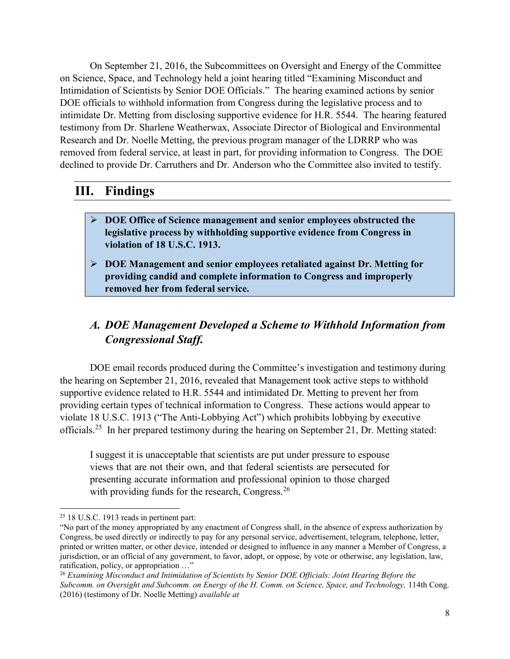On September 21, 2016, the Subcommittees on Oversight and Energy of the Committee on Science, Space, and Technology held a joint hearing titled "Examining Misconduct and Intimidation of Scientists by Senior DOE Officials." The hearing examined actions by senior DOE officials to withhold information from Congress during the legislative process and to intimidate Dr. Metting from disclosing supportive evidence for H.R. 5544. The hearing featured testimony from Dr. Sharlene Weatherwax, Associate Director of Biological and Environmental Research and Dr. Noelle Metting, the previous program manager of the LDRRP who was removed from federal service, at least in part, for providing information to Congress. The DOE declined to provide Dr. Carruthers and Dr. Anderson who the Committee also invited to testify.

# **III. Findings**

- ¾ **DOE Office of Science management and senior employees obstructed the legislative process by withholding supportive evidence from Congress in violation of 18 U.S.C. 1913.**
- ¾ **DOE Management and senior employees retaliated against Dr. Metting for providing candid and complete information to Congress and improperly removed her from federal service.**

# *A. DOE Management Developed a Scheme to Withhold Information from Congressional Staff.*

DOE email records produced during the Committee's investigation and testimony during the hearing on September 21, 2016, revealed that Management took active steps to withhold supportive evidence related to H.R. 5544 and intimidated Dr. Metting to prevent her from providing certain types of technical information to Congress. These actions would appear to violate 18 U.S.C. 1913 ("The Anti-Lobbying Act") which prohibits lobbying by executive officials.25 In her prepared testimony during the hearing on September 21, Dr. Metting stated:

I suggest it is unacceptable that scientists are put under pressure to espouse views that are not their own, and that federal scientists are persecuted for presenting accurate information and professional opinion to those charged with providing funds for the research, Congress.<sup>26</sup>

 $\overline{\phantom{a}}$ <sup>25</sup> 18 U.S.C. 1913 reads in pertinent part:

<sup>&</sup>quot;No part of the money appropriated by any enactment of Congress shall, in the absence of express authorization by Congress, be used directly or indirectly to pay for any personal service, advertisement, telegram, telephone, letter, printed or written matter, or other device, intended or designed to influence in any manner a Member of Congress, a jurisdiction, or an official of any government, to favor, adopt, or oppose, by vote or otherwise, any legislation, law, ratification, policy, or appropriation …"

<sup>26</sup> *Examining Misconduct and Intimidation of Scientists by Senior DOE Officials: Joint Hearing Before the Subcomm. on Oversight and Subcomm. on Energy of the H. Comm. on Science, Space, and Technology,* 114th Cong. (2016) (testimony of Dr. Noelle Metting) *available at*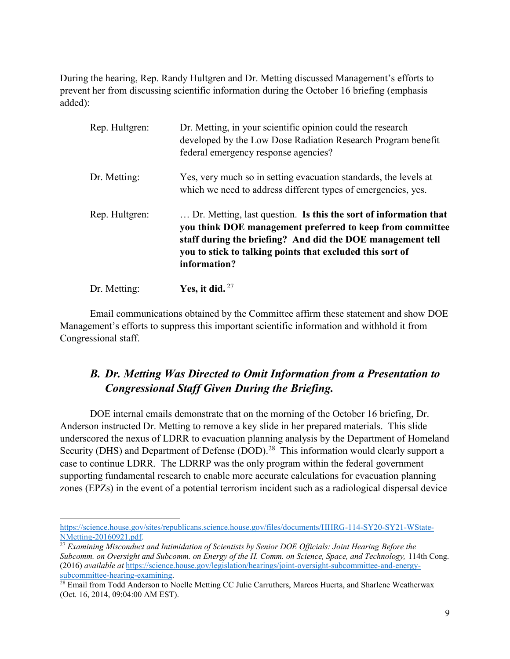During the hearing, Rep. Randy Hultgren and Dr. Metting discussed Management's efforts to prevent her from discussing scientific information during the October 16 briefing (emphasis added):

| Rep. Hultgren: | Dr. Metting, in your scientific opinion could the research<br>developed by the Low Dose Radiation Research Program benefit<br>federal emergency response agencies?                                                                                                       |
|----------------|--------------------------------------------------------------------------------------------------------------------------------------------------------------------------------------------------------------------------------------------------------------------------|
| Dr. Metting:   | Yes, very much so in setting evacuation standards, the levels at<br>which we need to address different types of emergencies, yes.                                                                                                                                        |
| Rep. Hultgren: | Dr. Metting, last question. Is this the sort of information that<br>you think DOE management preferred to keep from committee<br>staff during the briefing? And did the DOE management tell<br>you to stick to talking points that excluded this sort of<br>information? |
| Dr. Metting:   | Yes, it did. $27$                                                                                                                                                                                                                                                        |

Email communications obtained by the Committee affirm these statement and show DOE Management's efforts to suppress this important scientific information and withhold it from Congressional staff.

## *B. Dr. Metting Was Directed to Omit Information from a Presentation to Congressional Staff Given During the Briefing.*

DOE internal emails demonstrate that on the morning of the October 16 briefing, Dr. Anderson instructed Dr. Metting to remove a key slide in her prepared materials. This slide underscored the nexus of LDRR to evacuation planning analysis by the Department of Homeland Security (DHS) and Department of Defense (DOD).<sup>28</sup> This information would clearly support a case to continue LDRR. The LDRRP was the only program within the federal government supporting fundamental research to enable more accurate calculations for evacuation planning zones (EPZs) in the event of a potential terrorism incident such as a radiological dispersal device

 $\overline{a}$ [https://science.house.gov/sites/republicans.science.house.gov/files/documents/HHRG-114-SY20-SY21-WState-](https://science.house.gov/sites/republicans.science.house.gov/files/documents/HHRG-114-SY20-SY21-WState-NMetting-20160921.pdf)[NMetting-20160921.pdf.](https://science.house.gov/sites/republicans.science.house.gov/files/documents/HHRG-114-SY20-SY21-WState-NMetting-20160921.pdf)

<sup>&</sup>lt;sup>27</sup> Examining Misconduct and Intimidation of Scientists by Senior DOE Officials: Joint Hearing Before the *Subcomm. on Oversight and Subcomm. on Energy of the H. Comm. on Science, Space, and Technology,* 114th Cong. (2016) *available at* [https://science.house.gov/legislation/hearings/joint-oversight-subcommittee-and-energy](https://science.house.gov/legislation/hearings/joint-oversight-subcommittee-and-energy-subcommittee-hearing-examining)[subcommittee-hearing-examining.](https://science.house.gov/legislation/hearings/joint-oversight-subcommittee-and-energy-subcommittee-hearing-examining)

<sup>&</sup>lt;sup>28</sup> Email from Todd Anderson to Noelle Metting CC Julie Carruthers, Marcos Huerta, and Sharlene Weatherwax (Oct. 16, 2014, 09:04:00 AM EST).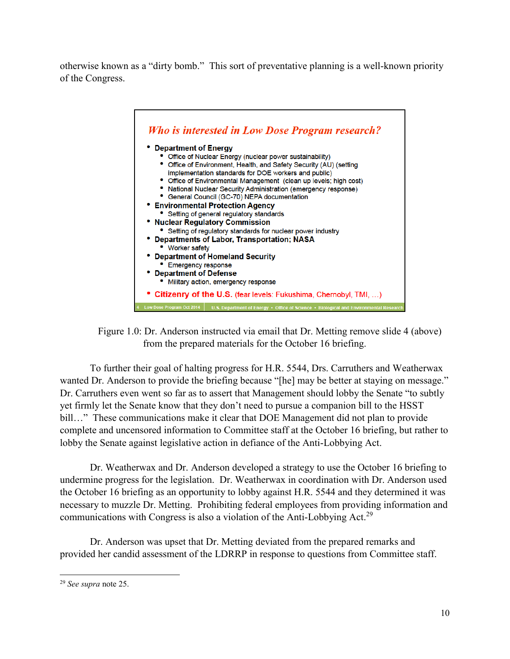otherwise known as a "dirty bomb." This sort of preventative planning is a well-known priority of the Congress.



Figure 1.0: Dr. Anderson instructed via email that Dr. Metting remove slide 4 (above) from the prepared materials for the October 16 briefing.

To further their goal of halting progress for H.R. 5544, Drs. Carruthers and Weatherwax wanted Dr. Anderson to provide the briefing because "[he] may be better at staying on message." Dr. Carruthers even went so far as to assert that Management should lobby the Senate "to subtly yet firmly let the Senate know that they don't need to pursue a companion bill to the HSST bill..." These communications make it clear that DOE Management did not plan to provide complete and uncensored information to Committee staff at the October 16 briefing, but rather to lobby the Senate against legislative action in defiance of the Anti-Lobbying Act.

Dr. Weatherwax and Dr. Anderson developed a strategy to use the October 16 briefing to undermine progress for the legislation. Dr. Weatherwax in coordination with Dr. Anderson used the October 16 briefing as an opportunity to lobby against H.R. 5544 and they determined it was necessary to muzzle Dr. Metting. Prohibiting federal employees from providing information and communications with Congress is also a violation of the Anti-Lobbying Act.<sup>29</sup>

Dr. Anderson was upset that Dr. Metting deviated from the prepared remarks and provided her candid assessment of the LDRRP in response to questions from Committee staff.

l <sup>29</sup> *See supra* note 25.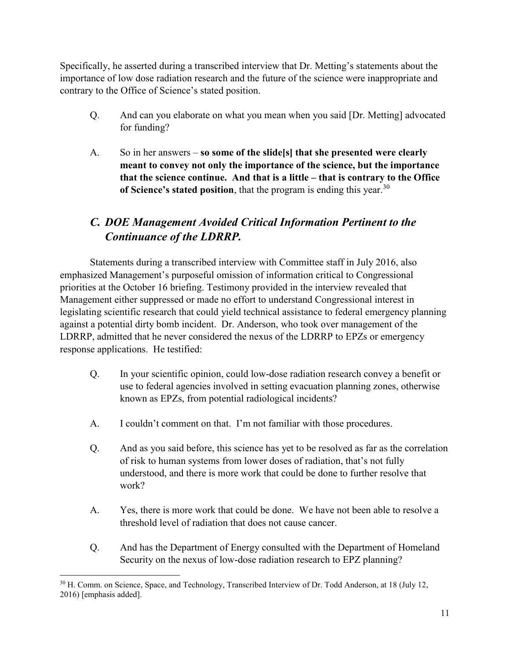Specifically, he asserted during a transcribed interview that Dr. Metting's statements about the importance of low dose radiation research and the future of the science were inappropriate and contrary to the Office of Science's stated position.

- Q. And can you elaborate on what you mean when you said [Dr. Metting] advocated for funding?
- A. So in her answers **so some of the slide[s] that she presented were clearly meant to convey not only the importance of the science, but the importance that the science continue. And that is a little – that is contrary to the Office**  of Science's stated position, that the program is ending this year.<sup>30</sup>

# *C. DOE Management Avoided Critical Information Pertinent to the Continuance of the LDRRP.*

Statements during a transcribed interview with Committee staff in July 2016, also emphasized Management's purposeful omission of information critical to Congressional priorities at the October 16 briefing. Testimony provided in the interview revealed that Management either suppressed or made no effort to understand Congressional interest in legislating scientific research that could yield technical assistance to federal emergency planning against a potential dirty bomb incident. Dr. Anderson, who took over management of the LDRRP, admitted that he never considered the nexus of the LDRRP to EPZs or emergency response applications. He testified:

- Q. In your scientific opinion, could low-dose radiation research convey a benefit or use to federal agencies involved in setting evacuation planning zones, otherwise known as EPZs, from potential radiological incidents?
- A. I couldn't comment on that. I'm not familiar with those procedures.
- Q. And as you said before, this science has yet to be resolved as far as the correlation of risk to human systems from lower doses of radiation, that's not fully understood, and there is more work that could be done to further resolve that work?
- A. Yes, there is more work that could be done. We have not been able to resolve a threshold level of radiation that does not cause cancer.
- Q. And has the Department of Energy consulted with the Department of Homeland Security on the nexus of low-dose radiation research to EPZ planning?

 $\overline{\phantom{a}}$ <sup>30</sup> H. Comm. on Science, Space, and Technology, Transcribed Interview of Dr. Todd Anderson, at 18 (July 12, 2016) [emphasis added].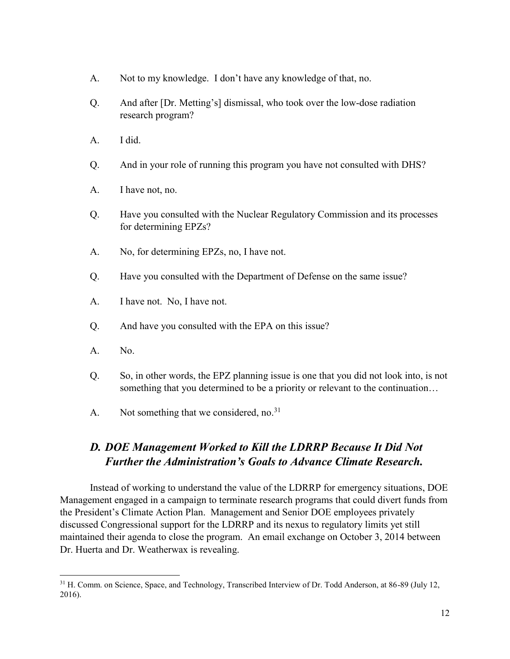- A. Not to my knowledge. I don't have any knowledge of that, no.
- Q. And after [Dr. Metting's] dismissal, who took over the low-dose radiation research program?
- A. I did.
- Q. And in your role of running this program you have not consulted with DHS?
- A. I have not, no.
- Q. Have you consulted with the Nuclear Regulatory Commission and its processes for determining EPZs?
- A. No, for determining EPZs, no, I have not.
- Q. Have you consulted with the Department of Defense on the same issue?
- A. I have not. No, I have not.
- Q. And have you consulted with the EPA on this issue?
- A. No.

 $\overline{\phantom{a}}$ 

- Q. So, in other words, the EPZ planning issue is one that you did not look into, is not something that you determined to be a priority or relevant to the continuation…
- A. Not something that we considered, no.<sup>31</sup>

## *D. DOE Management Worked to Kill the LDRRP Because It Did Not Further the Administration's Goals to Advance Climate Research.*

Instead of working to understand the value of the LDRRP for emergency situations, DOE Management engaged in a campaign to terminate research programs that could divert funds from the President's Climate Action Plan. Management and Senior DOE employees privately discussed Congressional support for the LDRRP and its nexus to regulatory limits yet still maintained their agenda to close the program. An email exchange on October 3, 2014 between Dr. Huerta and Dr. Weatherwax is revealing.

<sup>&</sup>lt;sup>31</sup> H. Comm. on Science, Space, and Technology, Transcribed Interview of Dr. Todd Anderson, at 86-89 (July 12, 2016).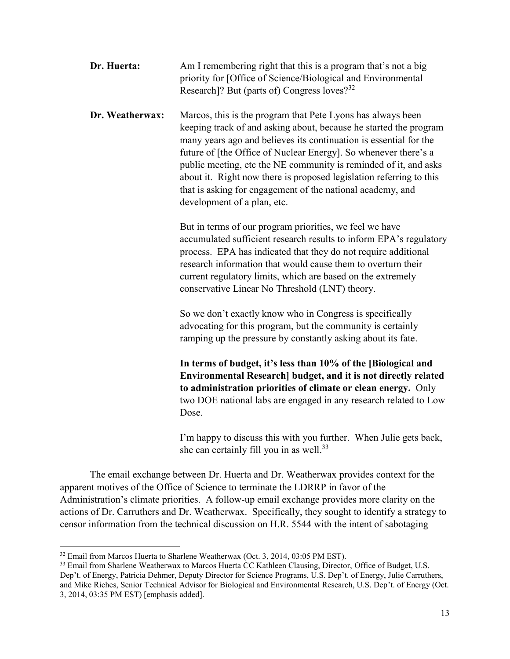| Dr. Huerta:     | Am I remembering right that this is a program that's not a big<br>priority for [Office of Science/Biological and Environmental<br>Research]? But (parts of) Congress loves? <sup>32</sup>                                                                                                                                                                                                                                                                                                                        |
|-----------------|------------------------------------------------------------------------------------------------------------------------------------------------------------------------------------------------------------------------------------------------------------------------------------------------------------------------------------------------------------------------------------------------------------------------------------------------------------------------------------------------------------------|
| Dr. Weatherwax: | Marcos, this is the program that Pete Lyons has always been<br>keeping track of and asking about, because he started the program<br>many years ago and believes its continuation is essential for the<br>future of [the Office of Nuclear Energy]. So whenever there's a<br>public meeting, etc the NE community is reminded of it, and asks<br>about it. Right now there is proposed legislation referring to this<br>that is asking for engagement of the national academy, and<br>development of a plan, etc. |
|                 | But in terms of our program priorities, we feel we have<br>accumulated sufficient research results to inform EPA's regulatory<br>process. EPA has indicated that they do not require additional<br>research information that would cause them to overturn their<br>current regulatory limits, which are based on the extremely<br>conservative Linear No Threshold (LNT) theory.                                                                                                                                 |
|                 | So we don't exactly know who in Congress is specifically<br>advocating for this program, but the community is certainly<br>ramping up the pressure by constantly asking about its fate.                                                                                                                                                                                                                                                                                                                          |
|                 | In terms of budget, it's less than 10% of the [Biological and<br>Environmental Research] budget, and it is not directly related<br>to administration priorities of climate or clean energy. Only<br>two DOE national labs are engaged in any research related to Low<br>Dose.                                                                                                                                                                                                                                    |

I'm happy to discuss this with you further. When Julie gets back, she can certainly fill you in as well.<sup>33</sup>

The email exchange between Dr. Huerta and Dr. Weatherwax provides context for the apparent motives of the Office of Science to terminate the LDRRP in favor of the Administration's climate priorities. A follow-up email exchange provides more clarity on the actions of Dr. Carruthers and Dr. Weatherwax. Specifically, they sought to identify a strategy to censor information from the technical discussion on H.R. 5544 with the intent of sabotaging

<sup>&</sup>lt;sup>32</sup> Email from Marcos Huerta to Sharlene Weatherwax (Oct. 3, 2014, 03:05 PM EST).

<sup>&</sup>lt;sup>33</sup> Email from Sharlene Weatherwax to Marcos Huerta CC Kathleen Clausing, Director, Office of Budget, U.S. Dep't. of Energy, Patricia Dehmer, Deputy Director for Science Programs, U.S. Dep't. of Energy, Julie Carruthers, and Mike Riches, Senior Technical Advisor for Biological and Environmental Research, U.S. Dep't. of Energy (Oct. 3, 2014, 03:35 PM EST) [emphasis added].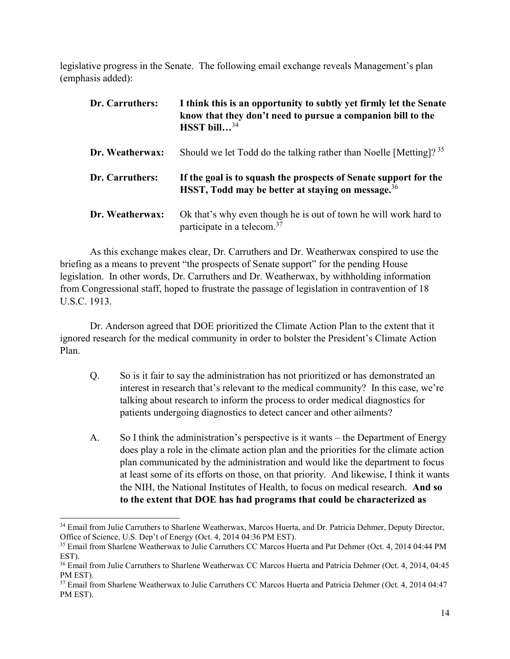legislative progress in the Senate. The following email exchange reveals Management's plan (emphasis added):

| Dr. Carruthers: | I think this is an opportunity to subtly yet firmly let the Senate<br>know that they don't need to pursue a companion bill to the<br>HSST bill $^{34}$ |
|-----------------|--------------------------------------------------------------------------------------------------------------------------------------------------------|
| Dr. Weatherwax: | Should we let Todd do the talking rather than Noelle [Metting]? <sup>35</sup>                                                                          |
| Dr. Carruthers: | If the goal is to squash the prospects of Senate support for the<br>HSST, Todd may be better at staying on message. <sup>36</sup>                      |
| Dr. Weatherwax: | Ok that's why even though he is out of town he will work hard to<br>participate in a telecom. <sup>37</sup>                                            |

As this exchange makes clear, Dr. Carruthers and Dr. Weatherwax conspired to use the briefing as a means to prevent "the prospects of Senate support" for the pending House legislation. In other words, Dr. Carruthers and Dr. Weatherwax, by withholding information from Congressional staff, hoped to frustrate the passage of legislation in contravention of 18 U.S.C. 1913.

Dr. Anderson agreed that DOE prioritized the Climate Action Plan to the extent that it ignored research for the medical community in order to bolster the President's Climate Action Plan.

- Q. So is it fair to say the administration has not prioritized or has demonstrated an interest in research that's relevant to the medical community? In this case, we're talking about research to inform the process to order medical diagnostics for patients undergoing diagnostics to detect cancer and other ailments?
- A. So I think the administration's perspective is it wants the Department of Energy does play a role in the climate action plan and the priorities for the climate action plan communicated by the administration and would like the department to focus at least some of its efforts on those, on that priority. And likewise, I think it wants the NIH, the National Institutes of Health, to focus on medical research. **And so to the extent that DOE has had programs that could be characterized as**

<sup>&</sup>lt;sup>34</sup> Email from Julie Carruthers to Sharlene Weatherwax, Marcos Huerta, and Dr. Patricia Dehmer, Deputy Director, Office of Science, U.S. Dep't of Energy (Oct. 4, 2014 04:36 PM EST).

<sup>35</sup> Email from Sharlene Weatherwax to Julie Carruthers CC Marcos Huerta and Pat Dehmer (Oct. 4, 2014 04:44 PM EST).

<sup>&</sup>lt;sup>36</sup> Email from Julie Carruthers to Sharlene Weatherwax CC Marcos Huerta and Patricia Dehmer (Oct. 4, 2014, 04:45 PM EST).

<sup>&</sup>lt;sup>37</sup> Email from Sharlene Weatherwax to Julie Carruthers CC Marcos Huerta and Patricia Dehmer (Oct. 4, 2014 04:47 PM EST).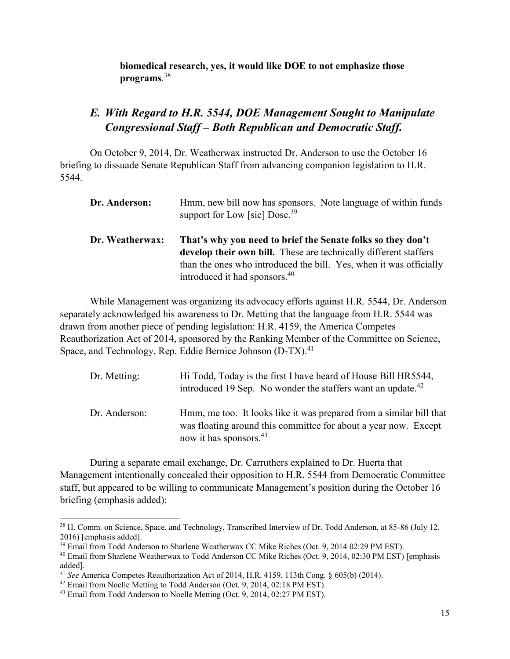**biomedical research, yes, it would like DOE to not emphasize those programs**. 38

## *E. With Regard to H.R. 5544, DOE Management Sought to Manipulate Congressional Staff – Both Republican and Democratic Staff.*

On October 9, 2014, Dr. Weatherwax instructed Dr. Anderson to use the October 16 briefing to dissuade Senate Republican Staff from advancing companion legislation to H.R. 5544.

| Dr. Anderson:   | Hmm, new bill now has sponsors. Note language of within funds<br>support for Low [sic] $Dose.39$                                                                                                                                                   |
|-----------------|----------------------------------------------------------------------------------------------------------------------------------------------------------------------------------------------------------------------------------------------------|
| Dr. Weatherwax: | That's why you need to brief the Senate folks so they don't<br>develop their own bill. These are technically different staffers<br>than the ones who introduced the bill. Yes, when it was officially<br>introduced it had sponsors. <sup>40</sup> |

While Management was organizing its advocacy efforts against H.R. 5544, Dr. Anderson separately acknowledged his awareness to Dr. Metting that the language from H.R. 5544 was drawn from another piece of pending legislation: H.R. 4159, the America Competes Reauthorization Act of 2014, sponsored by the Ranking Member of the Committee on Science, Space, and Technology, Rep. Eddie Bernice Johnson (D-TX).<sup>41</sup>

| Dr. Metting:  | Hi Todd, Today is the first I have heard of House Bill HR5544,<br>introduced 19 Sep. No wonder the staffers want an update. <sup>42</sup>                                    |
|---------------|------------------------------------------------------------------------------------------------------------------------------------------------------------------------------|
| Dr. Anderson: | Hmm, me too. It looks like it was prepared from a similar bill that<br>was floating around this committee for about a year now. Except<br>now it has sponsors. <sup>43</sup> |

During a separate email exchange, Dr. Carruthers explained to Dr. Huerta that Management intentionally concealed their opposition to H.R. 5544 from Democratic Committee staff, but appeared to be willing to communicate Management's position during the October 16 briefing (emphasis added):

<sup>38</sup> H. Comm. on Science, Space, and Technology, Transcribed Interview of Dr. Todd Anderson, at 85-86 (July 12, 2016) [emphasis added].

<sup>&</sup>lt;sup>39</sup> Email from Todd Anderson to Sharlene Weatherwax CC Mike Riches (Oct. 9, 2014 02:29 PM EST).

<sup>40</sup> Email from Sharlene Weatherwax to Todd Anderson CC Mike Riches (Oct. 9, 2014, 02:30 PM EST) [emphasis added].

<sup>41</sup> *See* America Competes Reauthorization Act of 2014, H.R. 4159, 113th Cong. § 605(b) (2014).

<sup>&</sup>lt;sup>42</sup> Email from Noelle Metting to Todd Anderson (Oct. 9, 2014, 02:18 PM EST).

<sup>&</sup>lt;sup>43</sup> Email from Todd Anderson to Noelle Metting (Oct. 9, 2014, 02:27 PM EST).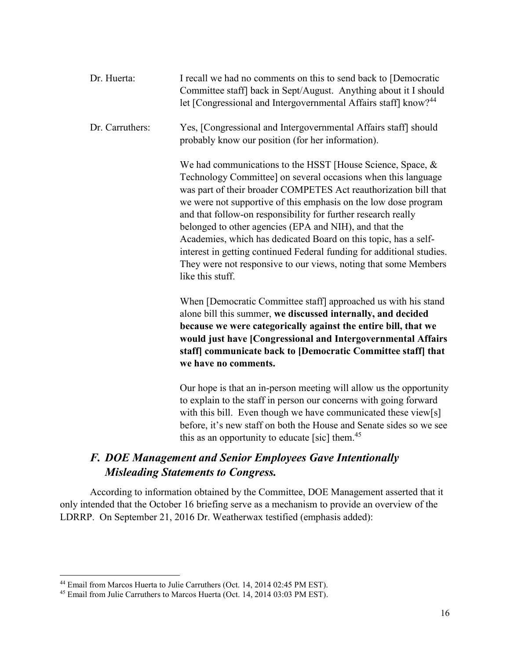| Dr. Huerta:     | I recall we had no comments on this to send back to [Democratic<br>Committee staff] back in Sept/August. Anything about it I should<br>let [Congressional and Intergovernmental Affairs staff] know? <sup>44</sup>                                                                                                                                                                                                                                                                                                                                                                                                               |
|-----------------|----------------------------------------------------------------------------------------------------------------------------------------------------------------------------------------------------------------------------------------------------------------------------------------------------------------------------------------------------------------------------------------------------------------------------------------------------------------------------------------------------------------------------------------------------------------------------------------------------------------------------------|
| Dr. Carruthers: | Yes, [Congressional and Intergovernmental Affairs staff] should<br>probably know our position (for her information).                                                                                                                                                                                                                                                                                                                                                                                                                                                                                                             |
|                 | We had communications to the HSST [House Science, Space, &<br>Technology Committee] on several occasions when this language<br>was part of their broader COMPETES Act reauthorization bill that<br>we were not supportive of this emphasis on the low dose program<br>and that follow-on responsibility for further research really<br>belonged to other agencies (EPA and NIH), and that the<br>Academies, which has dedicated Board on this topic, has a self-<br>interest in getting continued Federal funding for additional studies.<br>They were not responsive to our views, noting that some Members<br>like this stuff. |
|                 | When [Democratic Committee staff] approached us with his stand<br>alone bill this summer, we discussed internally, and decided                                                                                                                                                                                                                                                                                                                                                                                                                                                                                                   |
|                 | because we were categorically against the entire bill, that we<br>would just have [Congressional and Intergovernmental Affairs<br>staff] communicate back to [Democratic Committee staff] that<br>we have no comments.                                                                                                                                                                                                                                                                                                                                                                                                           |
|                 |                                                                                                                                                                                                                                                                                                                                                                                                                                                                                                                                                                                                                                  |

Our hope is that an in-person meeting will allow us the opportunity to explain to the staff in person our concerns with going forward with this bill. Even though we have communicated these view[s] before, it's new staff on both the House and Senate sides so we see this as an opportunity to educate [sic] them. $45$ 

## *F. DOE Management and Senior Employees Gave Intentionally Misleading Statements to Congress.*

According to information obtained by the Committee, DOE Management asserted that it only intended that the October 16 briefing serve as a mechanism to provide an overview of the LDRRP. On September 21, 2016 Dr. Weatherwax testified (emphasis added):

<sup>&</sup>lt;sup>44</sup> Email from Marcos Huerta to Julie Carruthers (Oct. 14, 2014 02:45 PM EST).

<sup>&</sup>lt;sup>45</sup> Email from Julie Carruthers to Marcos Huerta (Oct. 14, 2014 03:03 PM EST).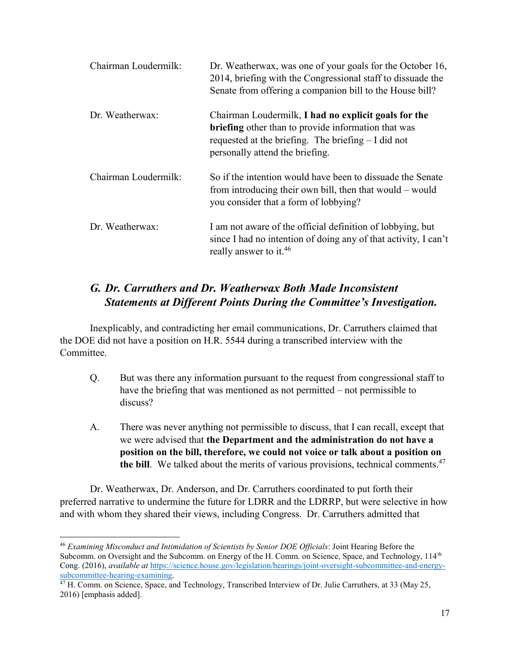| Chairman Loudermilk: | Dr. Weatherwax, was one of your goals for the October 16,<br>2014, briefing with the Congressional staff to dissuade the<br>Senate from offering a companion bill to the House bill?                           |
|----------------------|----------------------------------------------------------------------------------------------------------------------------------------------------------------------------------------------------------------|
| Dr. Weatherwax:      | Chairman Loudermilk, I had no explicit goals for the<br><b>briefing</b> other than to provide information that was<br>requested at the briefing. The briefing $- I$ did not<br>personally attend the briefing. |
| Chairman Loudermilk: | So if the intention would have been to dissuade the Senate<br>from introducing their own bill, then that would – would<br>you consider that a form of lobbying?                                                |
| Dr. Weatherwax:      | I am not aware of the official definition of lobbying, but<br>since I had no intention of doing any of that activity, I can't<br>really answer to it. <sup>46</sup>                                            |

## *G. Dr. Carruthers and Dr. Weatherwax Both Made Inconsistent Statements at Different Points During the Committee's Investigation.*

Inexplicably, and contradicting her email communications, Dr. Carruthers claimed that the DOE did not have a position on H.R. 5544 during a transcribed interview with the Committee.

- Q. But was there any information pursuant to the request from congressional staff to have the briefing that was mentioned as not permitted – not permissible to discuss?
- A. There was never anything not permissible to discuss, that I can recall, except that we were advised that **the Department and the administration do not have a position on the bill, therefore, we could not voice or talk about a position on the bill**. We talked about the merits of various provisions, technical comments.<sup>47</sup>

Dr. Weatherwax, Dr. Anderson, and Dr. Carruthers coordinated to put forth their preferred narrative to undermine the future for LDRR and the LDRRP, but were selective in how and with whom they shared their views, including Congress. Dr. Carruthers admitted that

l

<sup>46</sup> *Examining Misconduct and Intimidation of Scientists by Senior DOE Officials*: Joint Hearing Before the Subcomm. on Oversight and the Subcomm. on Energy of the H. Comm. on Science, Space, and Technology, 114<sup>th</sup> Cong. (2016), *available at* [https://science.house.gov/legislation/hearings/joint-oversight-subcommittee-and-energy](https://science.house.gov/legislation/hearings/joint-oversight-subcommittee-and-energy-subcommittee-hearing-examining)[subcommittee-hearing-examining.](https://science.house.gov/legislation/hearings/joint-oversight-subcommittee-and-energy-subcommittee-hearing-examining)

<sup>&</sup>lt;sup>47</sup> H. Comm. on Science, Space, and Technology, Transcribed Interview of Dr. Julie Carruthers, at 33 (May 25, 2016) [emphasis added].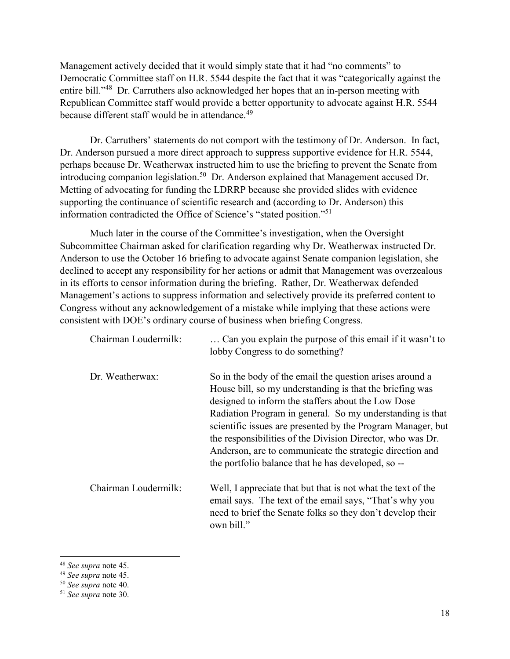Management actively decided that it would simply state that it had "no comments" to Democratic Committee staff on H.R. 5544 despite the fact that it was "categorically against the entire bill."48 Dr. Carruthers also acknowledged her hopes that an in-person meeting with Republican Committee staff would provide a better opportunity to advocate against H.R. 5544 because different staff would be in attendance.<sup>49</sup>

Dr. Carruthers' statements do not comport with the testimony of Dr. Anderson. In fact, Dr. Anderson pursued a more direct approach to suppress supportive evidence for H.R. 5544, perhaps because Dr. Weatherwax instructed him to use the briefing to prevent the Senate from introducing companion legislation.<sup>50</sup> Dr. Anderson explained that Management accused Dr. Metting of advocating for funding the LDRRP because she provided slides with evidence supporting the continuance of scientific research and (according to Dr. Anderson) this information contradicted the Office of Science's "stated position."51

Much later in the course of the Committee's investigation, when the Oversight Subcommittee Chairman asked for clarification regarding why Dr. Weatherwax instructed Dr. Anderson to use the October 16 briefing to advocate against Senate companion legislation, she declined to accept any responsibility for her actions or admit that Management was overzealous in its efforts to censor information during the briefing. Rather, Dr. Weatherwax defended Management's actions to suppress information and selectively provide its preferred content to Congress without any acknowledgement of a mistake while implying that these actions were consistent with DOE's ordinary course of business when briefing Congress.

| Chairman Loudermilk: | Can you explain the purpose of this email if it wasn't to<br>lobby Congress to do something?                                                                                                                                                                                                                                                                                                                                                                                           |
|----------------------|----------------------------------------------------------------------------------------------------------------------------------------------------------------------------------------------------------------------------------------------------------------------------------------------------------------------------------------------------------------------------------------------------------------------------------------------------------------------------------------|
| Dr. Weatherwax:      | So in the body of the email the question arises around a<br>House bill, so my understanding is that the briefing was<br>designed to inform the staffers about the Low Dose<br>Radiation Program in general. So my understanding is that<br>scientific issues are presented by the Program Manager, but<br>the responsibilities of the Division Director, who was Dr.<br>Anderson, are to communicate the strategic direction and<br>the portfolio balance that he has developed, so -- |
| Chairman Loudermilk: | Well, I appreciate that but that is not what the text of the<br>email says. The text of the email says, "That's why you<br>need to brief the Senate folks so they don't develop their<br>own bill."                                                                                                                                                                                                                                                                                    |

<sup>48</sup> *See supra* note 45.

<sup>49</sup> *See supra* note 45.

<sup>50</sup> *See supra* note 40.

<sup>51</sup> *See supra* note 30.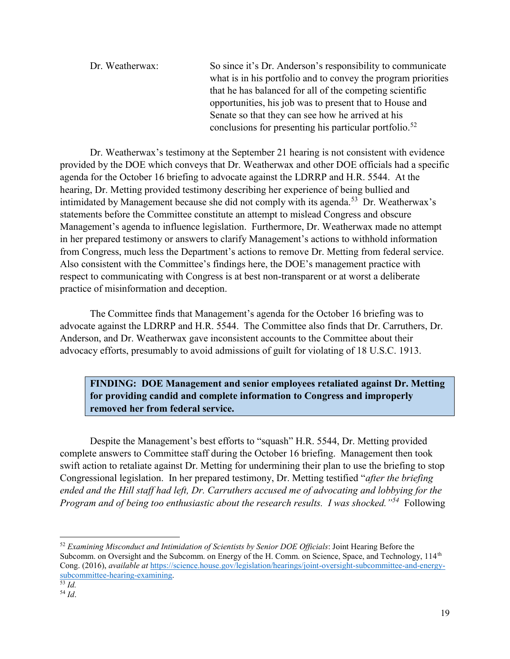| Dr. Weatherwax: | So since it's Dr. Anderson's responsibility to communicate         |
|-----------------|--------------------------------------------------------------------|
|                 | what is in his portfolio and to convey the program priorities      |
|                 | that he has balanced for all of the competing scientific           |
|                 | opportunities, his job was to present that to House and            |
|                 | Senate so that they can see how he arrived at his                  |
|                 | conclusions for presenting his particular portfolio. <sup>52</sup> |

Dr. Weatherwax's testimony at the September 21 hearing is not consistent with evidence provided by the DOE which conveys that Dr. Weatherwax and other DOE officials had a specific agenda for the October 16 briefing to advocate against the LDRRP and H.R. 5544. At the hearing, Dr. Metting provided testimony describing her experience of being bullied and intimidated by Management because she did not comply with its agenda.<sup>53</sup> Dr. Weatherwax's statements before the Committee constitute an attempt to mislead Congress and obscure Management's agenda to influence legislation. Furthermore, Dr. Weatherwax made no attempt in her prepared testimony or answers to clarify Management's actions to withhold information from Congress, much less the Department's actions to remove Dr. Metting from federal service. Also consistent with the Committee's findings here, the DOE's management practice with respect to communicating with Congress is at best non-transparent or at worst a deliberate practice of misinformation and deception.

The Committee finds that Management's agenda for the October 16 briefing was to advocate against the LDRRP and H.R. 5544. The Committee also finds that Dr. Carruthers, Dr. Anderson, and Dr. Weatherwax gave inconsistent accounts to the Committee about their advocacy efforts, presumably to avoid admissions of guilt for violating of 18 U.S.C. 1913.

**FINDING: DOE Management and senior employees retaliated against Dr. Metting for providing candid and complete information to Congress and improperly removed her from federal service.**

Despite the Management's best efforts to "squash" H.R. 5544, Dr. Metting provided complete answers to Committee staff during the October 16 briefing. Management then took swift action to retaliate against Dr. Metting for undermining their plan to use the briefing to stop Congressional legislation. In her prepared testimony, Dr. Metting testified "*after the briefing ended and the Hill staff had left, Dr. Carruthers accused me of advocating and lobbying for the Program and of being too enthusiastic about the research results. I was shocked."<sup>54</sup>* Following

<sup>52</sup> *Examining Misconduct and Intimidation of Scientists by Senior DOE Officials*: Joint Hearing Before the Subcomm. on Oversight and the Subcomm. on Energy of the H. Comm. on Science, Space, and Technology, 114<sup>th</sup> Cong. (2016), *available at* [https://science.house.gov/legislation/hearings/joint-oversight-subcommittee-and-energy](https://science.house.gov/legislation/hearings/joint-oversight-subcommittee-and-energy-subcommittee-hearing-examining)[subcommittee-hearing-examining.](https://science.house.gov/legislation/hearings/joint-oversight-subcommittee-and-energy-subcommittee-hearing-examining)

l

<sup>53</sup> *Id.* <sup>54</sup> *Id*.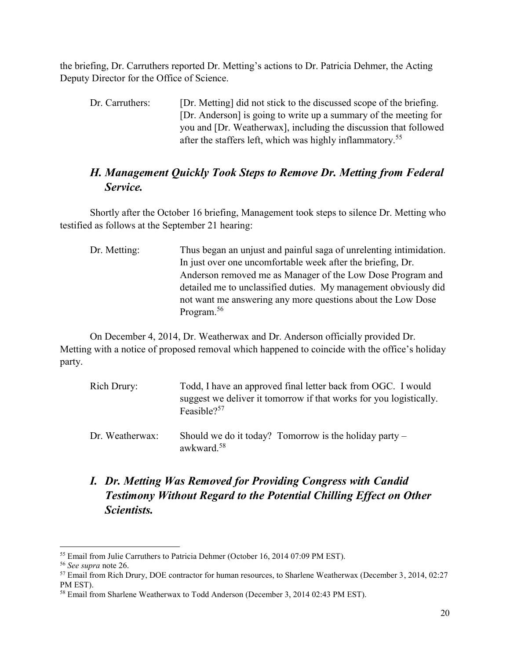the briefing, Dr. Carruthers reported Dr. Metting's actions to Dr. Patricia Dehmer, the Acting Deputy Director for the Office of Science.

Dr. Carruthers: [Dr. Metting] did not stick to the discussed scope of the briefing. [Dr. Anderson] is going to write up a summary of the meeting for you and [Dr. Weatherwax], including the discussion that followed after the staffers left, which was highly inflammatory.<sup>55</sup>

### *H. Management Quickly Took Steps to Remove Dr. Metting from Federal Service.*

Shortly after the October 16 briefing, Management took steps to silence Dr. Metting who testified as follows at the September 21 hearing:

Dr. Metting: Thus began an unjust and painful saga of unrelenting intimidation. In just over one uncomfortable week after the briefing, Dr. Anderson removed me as Manager of the Low Dose Program and detailed me to unclassified duties. My management obviously did not want me answering any more questions about the Low Dose Program.<sup>56</sup>

On December 4, 2014, Dr. Weatherwax and Dr. Anderson officially provided Dr. Metting with a notice of proposed removal which happened to coincide with the office's holiday party.

| Rich Drury:     | Todd, I have an approved final letter back from OGC. I would<br>suggest we deliver it tomorrow if that works for you logistically.<br>Feasible? <sup>57</sup> |
|-----------------|---------------------------------------------------------------------------------------------------------------------------------------------------------------|
| Dr. Weatherwax: | Should we do it today? Tomorrow is the holiday party $-$<br>awkward. <sup>58</sup>                                                                            |

*I. Dr. Metting Was Removed for Providing Congress with Candid Testimony Without Regard to the Potential Chilling Effect on Other Scientists.*

<sup>55</sup> Email from Julie Carruthers to Patricia Dehmer (October 16, 2014 07:09 PM EST).

<sup>56</sup> *See supra* note 26.

<sup>57</sup> Email from Rich Drury, DOE contractor for human resources, to Sharlene Weatherwax (December 3, 2014, 02:27 PM EST).

<sup>58</sup> Email from Sharlene Weatherwax to Todd Anderson (December 3, 2014 02:43 PM EST).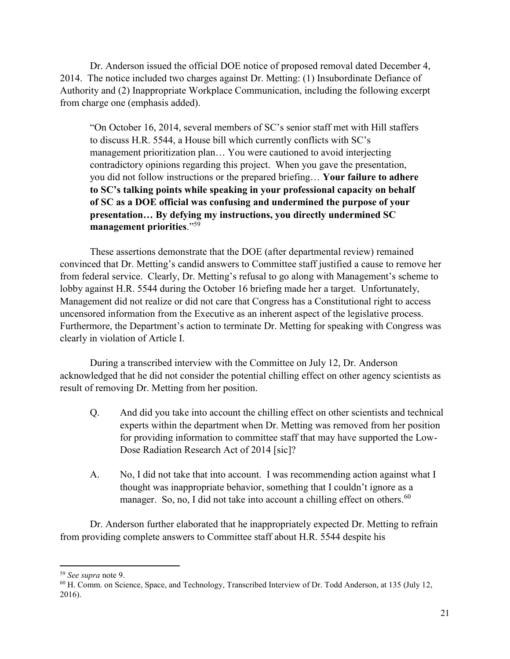Dr. Anderson issued the official DOE notice of proposed removal dated December 4, 2014. The notice included two charges against Dr. Metting: (1) Insubordinate Defiance of Authority and (2) Inappropriate Workplace Communication, including the following excerpt from charge one (emphasis added).

"On October 16, 2014, several members of SC's senior staff met with Hill staffers to discuss H.R. 5544, a House bill which currently conflicts with SC's management prioritization plan… You were cautioned to avoid interjecting contradictory opinions regarding this project. When you gave the presentation, you did not follow instructions or the prepared briefing… **Your failure to adhere to SC's talking points while speaking in your professional capacity on behalf of SC as a DOE official was confusing and undermined the purpose of your presentation… By defying my instructions, you directly undermined SC management priorities**."<sup>59</sup>

These assertions demonstrate that the DOE (after departmental review) remained convinced that Dr. Metting's candid answers to Committee staff justified a cause to remove her from federal service. Clearly, Dr. Metting's refusal to go along with Management's scheme to lobby against H.R. 5544 during the October 16 briefing made her a target. Unfortunately, Management did not realize or did not care that Congress has a Constitutional right to access uncensored information from the Executive as an inherent aspect of the legislative process. Furthermore, the Department's action to terminate Dr. Metting for speaking with Congress was clearly in violation of Article I.

During a transcribed interview with the Committee on July 12, Dr. Anderson acknowledged that he did not consider the potential chilling effect on other agency scientists as result of removing Dr. Metting from her position.

- Q. And did you take into account the chilling effect on other scientists and technical experts within the department when Dr. Metting was removed from her position for providing information to committee staff that may have supported the Low-Dose Radiation Research Act of 2014 [sic]?
- A. No, I did not take that into account. I was recommending action against what I thought was inappropriate behavior, something that I couldn't ignore as a manager. So, no, I did not take into account a chilling effect on others.<sup>60</sup>

Dr. Anderson further elaborated that he inappropriately expected Dr. Metting to refrain from providing complete answers to Committee staff about H.R. 5544 despite his

<sup>59</sup> *See supra* note 9.

<sup>60</sup> H. Comm. on Science, Space, and Technology, Transcribed Interview of Dr. Todd Anderson, at 135 (July 12, 2016).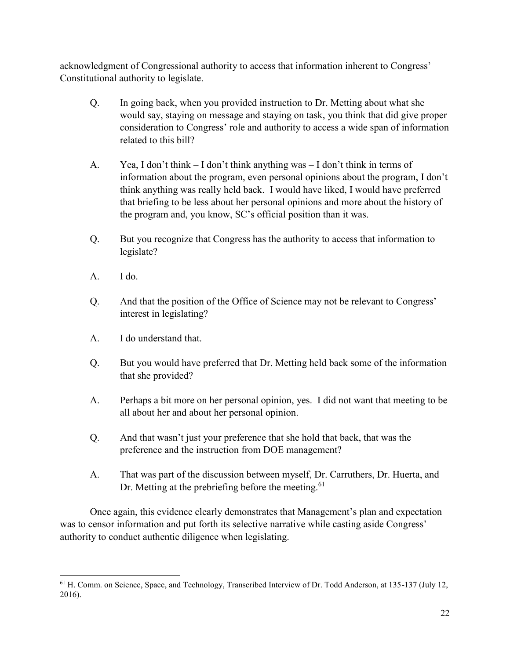acknowledgment of Congressional authority to access that information inherent to Congress' Constitutional authority to legislate.

- Q. In going back, when you provided instruction to Dr. Metting about what she would say, staying on message and staying on task, you think that did give proper consideration to Congress' role and authority to access a wide span of information related to this bill?
- A. Yea, I don't think I don't think anything was I don't think in terms of information about the program, even personal opinions about the program, I don't think anything was really held back. I would have liked, I would have preferred that briefing to be less about her personal opinions and more about the history of the program and, you know, SC's official position than it was.
- Q. But you recognize that Congress has the authority to access that information to legislate?
- $A.$  I do.
- Q. And that the position of the Office of Science may not be relevant to Congress' interest in legislating?
- A. I do understand that.
- Q. But you would have preferred that Dr. Metting held back some of the information that she provided?
- A. Perhaps a bit more on her personal opinion, yes. I did not want that meeting to be all about her and about her personal opinion.
- Q. And that wasn't just your preference that she hold that back, that was the preference and the instruction from DOE management?
- A. That was part of the discussion between myself, Dr. Carruthers, Dr. Huerta, and Dr. Metting at the prebriefing before the meeting.<sup>61</sup>

Once again, this evidence clearly demonstrates that Management's plan and expectation was to censor information and put forth its selective narrative while casting aside Congress' authority to conduct authentic diligence when legislating.

 $\overline{\phantom{a}}$ <sup>61</sup> H. Comm. on Science, Space, and Technology, Transcribed Interview of Dr. Todd Anderson, at 135-137 (July 12, 2016).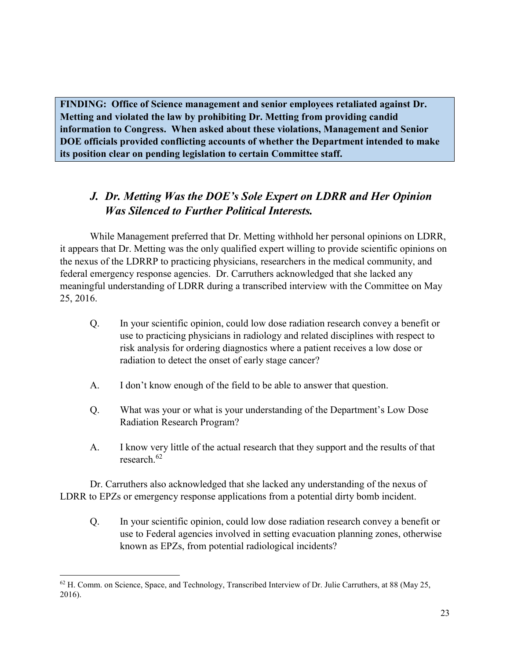**FINDING: Office of Science management and senior employees retaliated against Dr. Metting and violated the law by prohibiting Dr. Metting from providing candid information to Congress. When asked about these violations, Management and Senior DOE officials provided conflicting accounts of whether the Department intended to make its position clear on pending legislation to certain Committee staff.**

## *J. Dr. Metting Was the DOE's Sole Expert on LDRR and Her Opinion Was Silenced to Further Political Interests.*

While Management preferred that Dr. Metting withhold her personal opinions on LDRR, it appears that Dr. Metting was the only qualified expert willing to provide scientific opinions on the nexus of the LDRRP to practicing physicians, researchers in the medical community, and federal emergency response agencies. Dr. Carruthers acknowledged that she lacked any meaningful understanding of LDRR during a transcribed interview with the Committee on May 25, 2016.

- Q. In your scientific opinion, could low dose radiation research convey a benefit or use to practicing physicians in radiology and related disciplines with respect to risk analysis for ordering diagnostics where a patient receives a low dose or radiation to detect the onset of early stage cancer?
- A. I don't know enough of the field to be able to answer that question.
- Q. What was your or what is your understanding of the Department's Low Dose Radiation Research Program?
- A. I know very little of the actual research that they support and the results of that research<sup>62</sup>

Dr. Carruthers also acknowledged that she lacked any understanding of the nexus of LDRR to EPZs or emergency response applications from a potential dirty bomb incident.

Q. In your scientific opinion, could low dose radiation research convey a benefit or use to Federal agencies involved in setting evacuation planning zones, otherwise known as EPZs, from potential radiological incidents?

 $\overline{\phantom{a}}$  $62$  H. Comm. on Science, Space, and Technology, Transcribed Interview of Dr. Julie Carruthers, at 88 (May 25, 2016).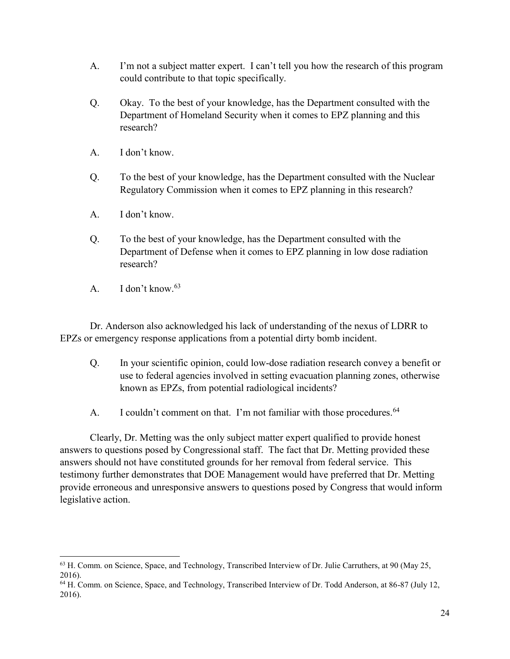- A. I'm not a subject matter expert. I can't tell you how the research of this program could contribute to that topic specifically.
- Q. Okay. To the best of your knowledge, has the Department consulted with the Department of Homeland Security when it comes to EPZ planning and this research?
- A. I don't know.
- Q. To the best of your knowledge, has the Department consulted with the Nuclear Regulatory Commission when it comes to EPZ planning in this research?
- A. I don't know.
- Q. To the best of your knowledge, has the Department consulted with the Department of Defense when it comes to EPZ planning in low dose radiation research?
- A. I don't know.<sup>63</sup>

 $\overline{\phantom{a}}$ 

Dr. Anderson also acknowledged his lack of understanding of the nexus of LDRR to EPZs or emergency response applications from a potential dirty bomb incident.

- Q. In your scientific opinion, could low-dose radiation research convey a benefit or use to federal agencies involved in setting evacuation planning zones, otherwise known as EPZs, from potential radiological incidents?
- A. I couldn't comment on that. I'm not familiar with those procedures.<sup>64</sup>

Clearly, Dr. Metting was the only subject matter expert qualified to provide honest answers to questions posed by Congressional staff. The fact that Dr. Metting provided these answers should not have constituted grounds for her removal from federal service. This testimony further demonstrates that DOE Management would have preferred that Dr. Metting provide erroneous and unresponsive answers to questions posed by Congress that would inform legislative action.

<sup>&</sup>lt;sup>63</sup> H. Comm. on Science, Space, and Technology, Transcribed Interview of Dr. Julie Carruthers, at 90 (May 25, 2016).

<sup>64</sup> H. Comm. on Science, Space, and Technology, Transcribed Interview of Dr. Todd Anderson, at 86-87 (July 12, 2016).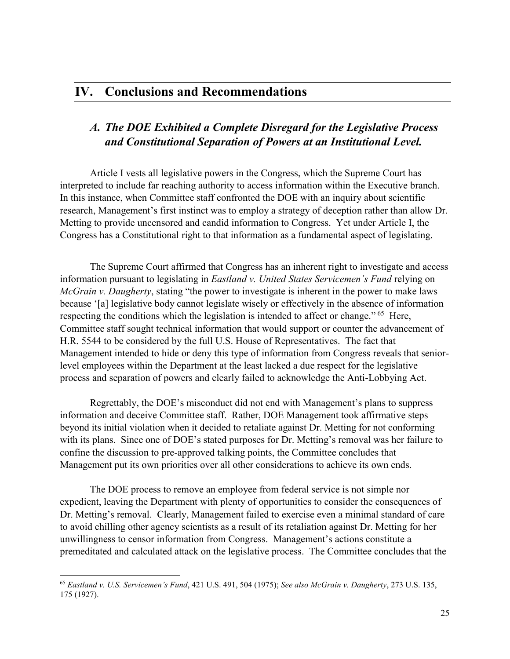## *A. The DOE Exhibited a Complete Disregard for the Legislative Process and Constitutional Separation of Powers at an Institutional Level.*

Article I vests all legislative powers in the Congress, which the Supreme Court has interpreted to include far reaching authority to access information within the Executive branch. In this instance, when Committee staff confronted the DOE with an inquiry about scientific research, Management's first instinct was to employ a strategy of deception rather than allow Dr. Metting to provide uncensored and candid information to Congress. Yet under Article I, the Congress has a Constitutional right to that information as a fundamental aspect of legislating.

The Supreme Court affirmed that Congress has an inherent right to investigate and access information pursuant to legislating in *Eastland v. United States Servicemen's Fund* relying on *McGrain v. Daugherty*, stating "the power to investigate is inherent in the power to make laws because '[a] legislative body cannot legislate wisely or effectively in the absence of information respecting the conditions which the legislation is intended to affect or change." <sup>65</sup> Here, Committee staff sought technical information that would support or counter the advancement of H.R. 5544 to be considered by the full U.S. House of Representatives. The fact that Management intended to hide or deny this type of information from Congress reveals that seniorlevel employees within the Department at the least lacked a due respect for the legislative process and separation of powers and clearly failed to acknowledge the Anti-Lobbying Act.

Regrettably, the DOE's misconduct did not end with Management's plans to suppress information and deceive Committee staff. Rather, DOE Management took affirmative steps beyond its initial violation when it decided to retaliate against Dr. Metting for not conforming with its plans. Since one of DOE's stated purposes for Dr. Metting's removal was her failure to confine the discussion to pre-approved talking points, the Committee concludes that Management put its own priorities over all other considerations to achieve its own ends.

The DOE process to remove an employee from federal service is not simple nor expedient, leaving the Department with plenty of opportunities to consider the consequences of Dr. Metting's removal. Clearly, Management failed to exercise even a minimal standard of care to avoid chilling other agency scientists as a result of its retaliation against Dr. Metting for her unwillingness to censor information from Congress. Management's actions constitute a premeditated and calculated attack on the legislative process. The Committee concludes that the

<sup>65</sup> *Eastland v. U.S. Servicemen's Fund*, 421 U.S. 491, 504 (1975); *See also McGrain v. Daugherty*, 273 U.S. 135, 175 (1927).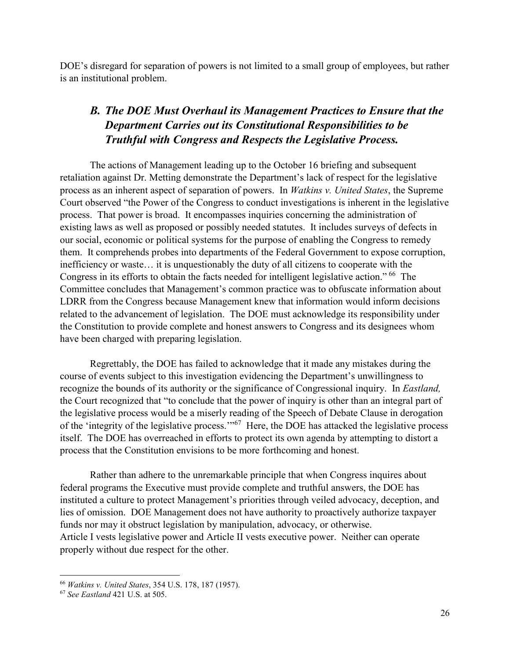DOE's disregard for separation of powers is not limited to a small group of employees, but rather is an institutional problem.

## *B. The DOE Must Overhaul its Management Practices to Ensure that the Department Carries out its Constitutional Responsibilities to be Truthful with Congress and Respects the Legislative Process.*

The actions of Management leading up to the October 16 briefing and subsequent retaliation against Dr. Metting demonstrate the Department's lack of respect for the legislative process as an inherent aspect of separation of powers. In *Watkins v. United States*, the Supreme Court observed "the Power of the Congress to conduct investigations is inherent in the legislative process. That power is broad. It encompasses inquiries concerning the administration of existing laws as well as proposed or possibly needed statutes. It includes surveys of defects in our social, economic or political systems for the purpose of enabling the Congress to remedy them. It comprehends probes into departments of the Federal Government to expose corruption, inefficiency or waste… it is unquestionably the duty of all citizens to cooperate with the Congress in its efforts to obtain the facts needed for intelligent legislative action." 66 The Committee concludes that Management's common practice was to obfuscate information about LDRR from the Congress because Management knew that information would inform decisions related to the advancement of legislation. The DOE must acknowledge its responsibility under the Constitution to provide complete and honest answers to Congress and its designees whom have been charged with preparing legislation.

Regrettably, the DOE has failed to acknowledge that it made any mistakes during the course of events subject to this investigation evidencing the Department's unwillingness to recognize the bounds of its authority or the significance of Congressional inquiry. In *Eastland,* the Court recognized that "to conclude that the power of inquiry is other than an integral part of the legislative process would be a miserly reading of the Speech of Debate Clause in derogation of the 'integrity of the legislative process.'"<sup>67</sup> Here, the DOE has attacked the legislative process itself. The DOE has overreached in efforts to protect its own agenda by attempting to distort a process that the Constitution envisions to be more forthcoming and honest.

Rather than adhere to the unremarkable principle that when Congress inquires about federal programs the Executive must provide complete and truthful answers, the DOE has instituted a culture to protect Management's priorities through veiled advocacy, deception, and lies of omission. DOE Management does not have authority to proactively authorize taxpayer funds nor may it obstruct legislation by manipulation, advocacy, or otherwise. Article I vests legislative power and Article II vests executive power. Neither can operate properly without due respect for the other.

<sup>66</sup> *Watkins v. United States*, 354 U.S. 178, 187 (1957).

<sup>67</sup> *See Eastland* 421 U.S. at 505.